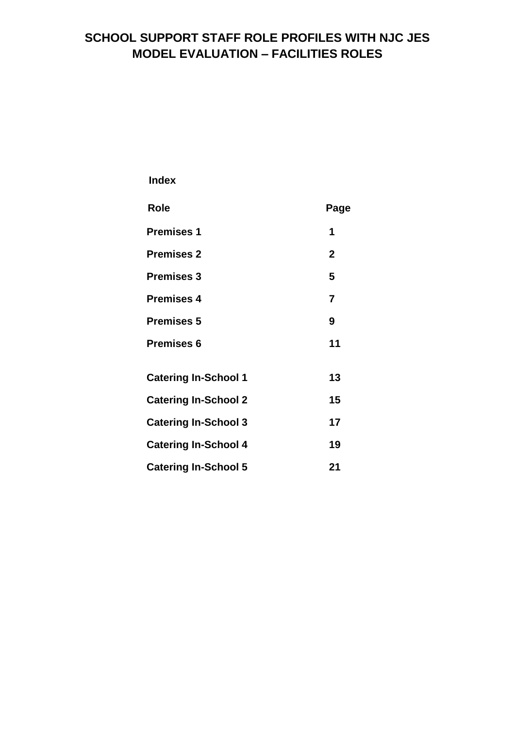# **SCHOOL SUPPORT STAFF ROLE PROFILES WITH NJC JES MODEL EVALUATION – FACILITIES ROLES**

 **Index**

| <b>Role</b>                 | Page           |
|-----------------------------|----------------|
| <b>Premises 1</b>           | 1              |
| <b>Premises 2</b>           | $\mathbf{2}$   |
| <b>Premises 3</b>           | 5              |
| <b>Premises 4</b>           | $\overline{7}$ |
| <b>Premises 5</b>           | 9              |
| <b>Premises 6</b>           | 11             |
| <b>Catering In-School 1</b> | 13             |
| <b>Catering In-School 2</b> | 15             |
| <b>Catering In-School 3</b> | 17             |
| <b>Catering In-School 4</b> | 19             |
| <b>Catering In-School 5</b> | 21             |
|                             |                |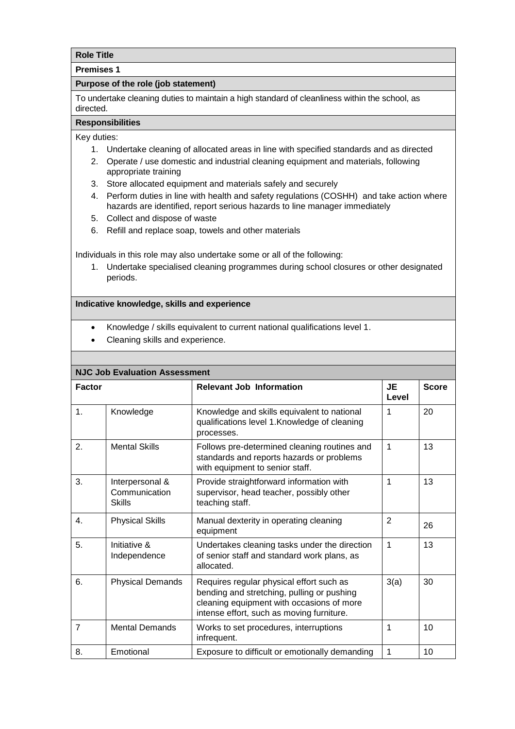#### **Premises 1**

#### **Purpose of the role (job statement)**

To undertake cleaning duties to maintain a high standard of cleanliness within the school, as directed.

## **Responsibilities**

Key duties:

- 1. Undertake cleaning of allocated areas in line with specified standards and as directed
- 2. Operate / use domestic and industrial cleaning equipment and materials, following appropriate training
- 3. Store allocated equipment and materials safely and securely
- 4. Perform duties in line with health and safety regulations (COSHH) and take action where hazards are identified, report serious hazards to line manager immediately
- 5. Collect and dispose of waste
- 6. Refill and replace soap, towels and other materials

Individuals in this role may also undertake some or all of the following:

1. Undertake specialised cleaning programmes during school closures or other designated periods.

- Knowledge / skills equivalent to current national qualifications level 1.
- Cleaning skills and experience.

|                | <b>NJC Job Evaluation Assessment</b>              |                                                                                                                                                                                  |                |              |
|----------------|---------------------------------------------------|----------------------------------------------------------------------------------------------------------------------------------------------------------------------------------|----------------|--------------|
| <b>Factor</b>  |                                                   | <b>Relevant Job Information</b>                                                                                                                                                  | JE<br>Level    | <b>Score</b> |
| $\mathbf{1}$ . | Knowledge                                         | Knowledge and skills equivalent to national<br>qualifications level 1. Knowledge of cleaning<br>processes.                                                                       | 1              | 20           |
| 2.             | <b>Mental Skills</b>                              | Follows pre-determined cleaning routines and<br>standards and reports hazards or problems<br>with equipment to senior staff.                                                     | 1              | 13           |
| 3.             | Interpersonal &<br>Communication<br><b>Skills</b> | Provide straightforward information with<br>supervisor, head teacher, possibly other<br>teaching staff.                                                                          | 1              | 13           |
| $\mathbf{4}$ . | <b>Physical Skills</b>                            | Manual dexterity in operating cleaning<br>equipment                                                                                                                              | $\overline{2}$ | 26           |
| 5.             | Initiative &<br>Independence                      | Undertakes cleaning tasks under the direction<br>of senior staff and standard work plans, as<br>allocated.                                                                       | 1              | 13           |
| 6.             | <b>Physical Demands</b>                           | Requires regular physical effort such as<br>bending and stretching, pulling or pushing<br>cleaning equipment with occasions of more<br>intense effort, such as moving furniture. | 3(a)           | 30           |
| $\overline{7}$ | <b>Mental Demands</b>                             | Works to set procedures, interruptions<br>infrequent.                                                                                                                            | 1              | 10           |
| 8.             | Emotional                                         | Exposure to difficult or emotionally demanding                                                                                                                                   | 1              | 10           |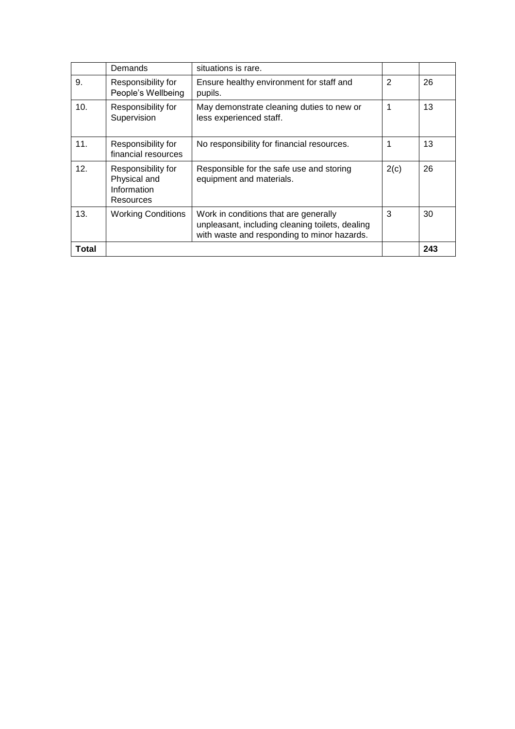|       | Demands                                                        | situations is rare.                                                                                                                     |                |     |
|-------|----------------------------------------------------------------|-----------------------------------------------------------------------------------------------------------------------------------------|----------------|-----|
| 9.    | Responsibility for<br>People's Wellbeing                       | Ensure healthy environment for staff and<br>pupils.                                                                                     | $\overline{2}$ | 26  |
| 10.   | Responsibility for<br>Supervision                              | May demonstrate cleaning duties to new or<br>less experienced staff.                                                                    | 1              | 13  |
| 11.   | Responsibility for<br>financial resources                      | No responsibility for financial resources.                                                                                              | 1              | 13  |
| 12.   | Responsibility for<br>Physical and<br>Information<br>Resources | Responsible for the safe use and storing<br>equipment and materials.                                                                    | 2(c)           | 26  |
| 13.   | <b>Working Conditions</b>                                      | Work in conditions that are generally<br>unpleasant, including cleaning toilets, dealing<br>with waste and responding to minor hazards. | 3              | 30  |
| Total |                                                                |                                                                                                                                         |                | 243 |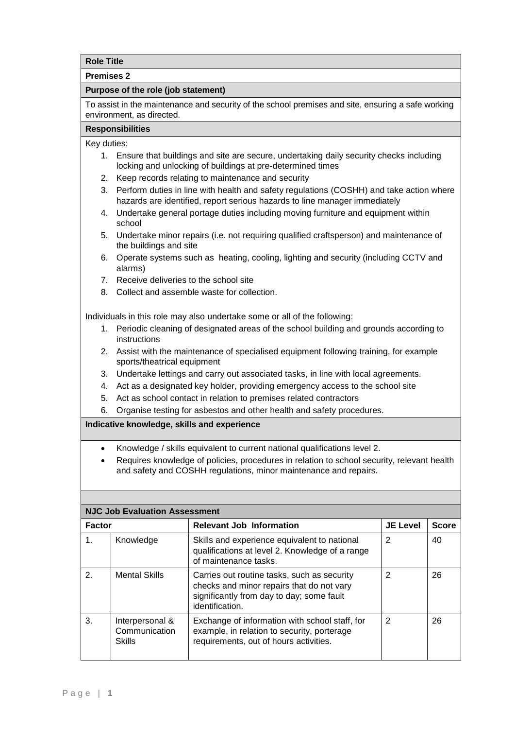#### **Premises 2**

#### **Purpose of the role (job statement)**

To assist in the maintenance and security of the school premises and site, ensuring a safe working environment, as directed.

#### **Responsibilities**

Key duties:

- 1. Ensure that buildings and site are secure, undertaking daily security checks including locking and unlocking of buildings at pre-determined times
- 2. Keep records relating to maintenance and security
- 3. Perform duties in line with health and safety regulations (COSHH) and take action where hazards are identified, report serious hazards to line manager immediately
- 4. Undertake general portage duties including moving furniture and equipment within school
- 5. Undertake minor repairs (i.e. not requiring qualified craftsperson) and maintenance of the buildings and site
- 6. Operate systems such as heating, cooling, lighting and security (including CCTV and alarms)
- 7. Receive deliveries to the school site
- 8. Collect and assemble waste for collection.

Individuals in this role may also undertake some or all of the following:

- 1. Periodic cleaning of designated areas of the school building and grounds according to instructions
- 2. Assist with the maintenance of specialised equipment following training, for example sports/theatrical equipment
- 3. Undertake lettings and carry out associated tasks, in line with local agreements.
- 4. Act as a designated key holder, providing emergency access to the school site
- 5. Act as school contact in relation to premises related contractors
- 6. Organise testing for asbestos and other health and safety procedures.

- Knowledge / skills equivalent to current national qualifications level 2.
- Requires knowledge of policies, procedures in relation to school security, relevant health and safety and COSHH regulations, minor maintenance and repairs.

|               | <b>NJC Job Evaluation Assessment</b>              |                                                                                                                                                          |                 |              |  |
|---------------|---------------------------------------------------|----------------------------------------------------------------------------------------------------------------------------------------------------------|-----------------|--------------|--|
| <b>Factor</b> |                                                   | <b>Relevant Job Information</b>                                                                                                                          | <b>JE Level</b> | <b>Score</b> |  |
| 1.            | Knowledge                                         | Skills and experience equivalent to national<br>qualifications at level 2. Knowledge of a range<br>of maintenance tasks.                                 | $\overline{2}$  | 40           |  |
| 2.            | <b>Mental Skills</b>                              | Carries out routine tasks, such as security<br>checks and minor repairs that do not vary<br>significantly from day to day; some fault<br>identification. | $\overline{2}$  | 26           |  |
| 3.            | Interpersonal &<br>Communication<br><b>Skills</b> | Exchange of information with school staff, for<br>example, in relation to security, porterage<br>requirements, out of hours activities.                  | $\overline{2}$  | 26           |  |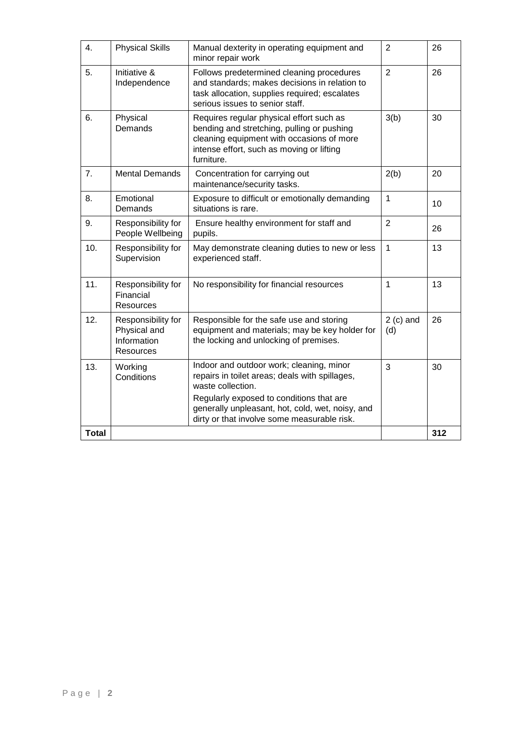| 4.           | <b>Physical Skills</b>                                                | Manual dexterity in operating equipment and<br>minor repair work                                                                                                                               | $\overline{2}$     | 26  |
|--------------|-----------------------------------------------------------------------|------------------------------------------------------------------------------------------------------------------------------------------------------------------------------------------------|--------------------|-----|
| 5.           | Initiative &<br>Independence                                          | Follows predetermined cleaning procedures<br>and standards; makes decisions in relation to<br>task allocation, supplies required; escalates<br>serious issues to senior staff.                 | $\overline{2}$     | 26  |
| 6.           | Physical<br>Demands                                                   | Requires regular physical effort such as<br>bending and stretching, pulling or pushing<br>cleaning equipment with occasions of more<br>intense effort, such as moving or lifting<br>furniture. | 3(b)               | 30  |
| 7.           | <b>Mental Demands</b>                                                 | Concentration for carrying out<br>maintenance/security tasks.                                                                                                                                  | 2(b)               | 20  |
| 8.           | Emotional<br>Demands                                                  | Exposure to difficult or emotionally demanding<br>situations is rare.                                                                                                                          | $\mathbf{1}$       | 10  |
| 9.           | Responsibility for<br>People Wellbeing                                | Ensure healthy environment for staff and<br>pupils.                                                                                                                                            | $\overline{2}$     | 26  |
| 10.          | Responsibility for<br>Supervision                                     | May demonstrate cleaning duties to new or less<br>experienced staff.                                                                                                                           | $\mathbf{1}$       | 13  |
| 11.          | Responsibility for<br>Financial<br>Resources                          | No responsibility for financial resources                                                                                                                                                      | 1                  | 13  |
| 12.          | Responsibility for<br>Physical and<br>Information<br><b>Resources</b> | Responsible for the safe use and storing<br>equipment and materials; may be key holder for<br>the locking and unlocking of premises.                                                           | $2$ (c) and<br>(d) | 26  |
| 13.          | Working<br>Conditions                                                 | Indoor and outdoor work; cleaning, minor<br>repairs in toilet areas; deals with spillages,<br>waste collection.                                                                                | 3                  | 30  |
|              |                                                                       | Regularly exposed to conditions that are<br>generally unpleasant, hot, cold, wet, noisy, and<br>dirty or that involve some measurable risk.                                                    |                    |     |
| <b>Total</b> |                                                                       |                                                                                                                                                                                                |                    | 312 |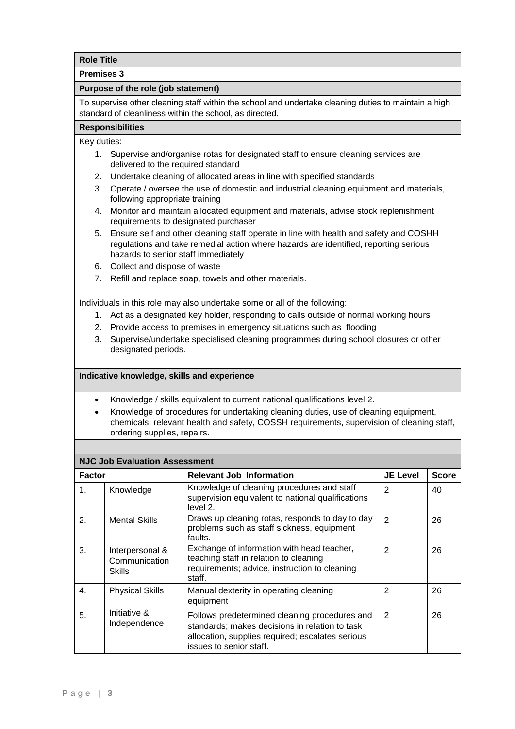#### **Premises 3**

#### **Purpose of the role (job statement)**

To supervise other cleaning staff within the school and undertake cleaning duties to maintain a high standard of cleanliness within the school, as directed.

## **Responsibilities**

Key duties:

- 1. Supervise and/organise rotas for designated staff to ensure cleaning services are delivered to the required standard
- 2. Undertake cleaning of allocated areas in line with specified standards
- 3. Operate / oversee the use of domestic and industrial cleaning equipment and materials, following appropriate training
- 4. Monitor and maintain allocated equipment and materials, advise stock replenishment requirements to designated purchaser
- 5. Ensure self and other cleaning staff operate in line with health and safety and COSHH regulations and take remedial action where hazards are identified, reporting serious hazards to senior staff immediately
- 6. Collect and dispose of waste
- 7. Refill and replace soap, towels and other materials.

Individuals in this role may also undertake some or all of the following:

- 1. Act as a designated key holder, responding to calls outside of normal working hours
- 2. Provide access to premises in emergency situations such as flooding
- 3. Supervise/undertake specialised cleaning programmes during school closures or other designated periods.

#### **Indicative knowledge, skills and experience**

- Knowledge / skills equivalent to current national qualifications level 2.
- Knowledge of procedures for undertaking cleaning duties, use of cleaning equipment, chemicals, relevant health and safety, COSSH requirements, supervision of cleaning staff, ordering supplies, repairs.

## **NJC Job Evaluation Assessment**

|               | NJC JOD EVAIUALION ASSESSMENT              |                                                                                                                                                                                |                 |              |  |
|---------------|--------------------------------------------|--------------------------------------------------------------------------------------------------------------------------------------------------------------------------------|-----------------|--------------|--|
| <b>Factor</b> |                                            | <b>Relevant Job Information</b>                                                                                                                                                | <b>JE Level</b> | <b>Score</b> |  |
| 1.            | Knowledge                                  | Knowledge of cleaning procedures and staff<br>supervision equivalent to national qualifications<br>level 2.                                                                    | 2               | 40           |  |
| 2.            | <b>Mental Skills</b>                       | Draws up cleaning rotas, responds to day to day<br>problems such as staff sickness, equipment<br>faults.                                                                       | $\mathcal{P}$   | 26           |  |
| 3.            | Interpersonal &<br>Communication<br>Skills | Exchange of information with head teacher,<br>teaching staff in relation to cleaning<br>requirements; advice, instruction to cleaning<br>staff.                                | $\mathfrak{p}$  | 26           |  |
| 4.            | <b>Physical Skills</b>                     | Manual dexterity in operating cleaning<br>equipment                                                                                                                            | $\mathfrak{p}$  | 26           |  |
| 5.            | Initiative &<br>Independence               | Follows predetermined cleaning procedures and<br>standards; makes decisions in relation to task<br>allocation, supplies required; escalates serious<br>issues to senior staff. | $\mathbf{2}$    | 26           |  |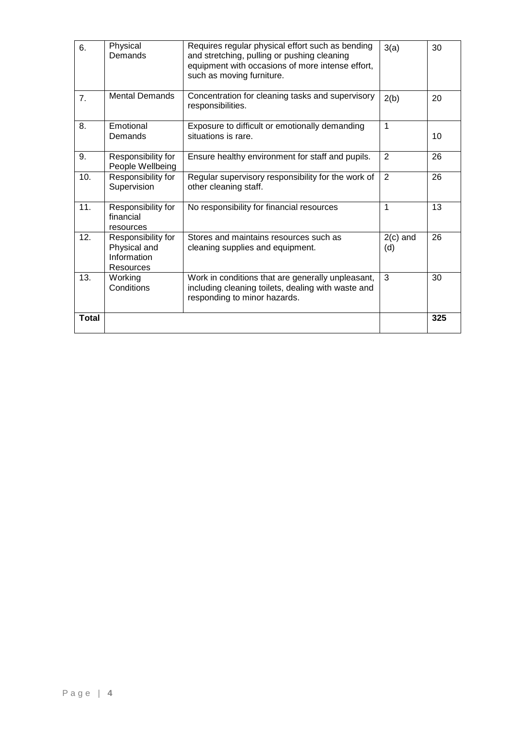| 6.           | Physical<br>Demands                                            | Requires regular physical effort such as bending<br>and stretching, pulling or pushing cleaning<br>equipment with occasions of more intense effort,<br>such as moving furniture. | 3(a)              | 30  |
|--------------|----------------------------------------------------------------|----------------------------------------------------------------------------------------------------------------------------------------------------------------------------------|-------------------|-----|
| 7.           | <b>Mental Demands</b>                                          | Concentration for cleaning tasks and supervisory<br>responsibilities.                                                                                                            | 2(b)              | 20  |
| 8.           | Emotional<br>Demands                                           | Exposure to difficult or emotionally demanding<br>situations is rare.                                                                                                            | 1                 | 10  |
| 9.           | Responsibility for<br>People Wellbeing                         | Ensure healthy environment for staff and pupils.                                                                                                                                 | 2                 | 26  |
| 10.          | Responsibility for<br>Supervision                              | Regular supervisory responsibility for the work of<br>other cleaning staff.                                                                                                      | 2                 | 26  |
| 11.          | Responsibility for<br>financial<br>resources                   | No responsibility for financial resources                                                                                                                                        | 1                 | 13  |
| 12.          | Responsibility for<br>Physical and<br>Information<br>Resources | Stores and maintains resources such as<br>cleaning supplies and equipment.                                                                                                       | $2(c)$ and<br>(d) | 26  |
| 13.          | Working<br>Conditions                                          | Work in conditions that are generally unpleasant,<br>including cleaning toilets, dealing with waste and<br>responding to minor hazards.                                          | 3                 | 30  |
| <b>Total</b> |                                                                |                                                                                                                                                                                  |                   | 325 |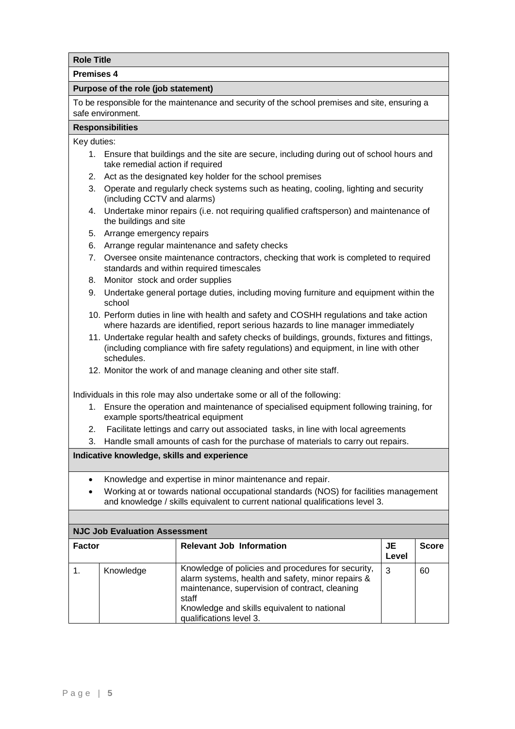**Premises 4**

#### **Purpose of the role (job statement)**

To be responsible for the maintenance and security of the school premises and site, ensuring a safe environment.

## **Responsibilities**

Key duties:

- 1. Ensure that buildings and the site are secure, including during out of school hours and take remedial action if required
- 2. Act as the designated key holder for the school premises
- 3. Operate and regularly check systems such as heating, cooling, lighting and security (including CCTV and alarms)
- 4. Undertake minor repairs (i.e. not requiring qualified craftsperson) and maintenance of the buildings and site
- 5. Arrange emergency repairs
- 6. Arrange regular maintenance and safety checks
- 7. Oversee onsite maintenance contractors, checking that work is completed to required standards and within required timescales
- 8. Monitor stock and order supplies
- 9. Undertake general portage duties, including moving furniture and equipment within the school
- 10. Perform duties in line with health and safety and COSHH regulations and take action where hazards are identified, report serious hazards to line manager immediately
- 11. Undertake regular health and safety checks of buildings, grounds, fixtures and fittings, (including compliance with fire safety regulations) and equipment, in line with other schedules.
- 12. Monitor the work of and manage cleaning and other site staff.

Individuals in this role may also undertake some or all of the following:

- 1. Ensure the operation and maintenance of specialised equipment following training, for example sports/theatrical equipment
- 2. Facilitate lettings and carry out associated tasks, in line with local agreements
- 3. Handle small amounts of cash for the purchase of materials to carry out repairs.

- Knowledge and expertise in minor maintenance and repair.
- Working at or towards national occupational standards (NOS) for facilities management and knowledge / skills equivalent to current national qualifications level 3.

|        | <b>NJC Job Evaluation Assessment</b> |                                                                                                                                                                                                                                              |             |              |  |  |
|--------|--------------------------------------|----------------------------------------------------------------------------------------------------------------------------------------------------------------------------------------------------------------------------------------------|-------------|--------------|--|--|
| Factor |                                      | <b>Relevant Job Information</b>                                                                                                                                                                                                              | JE<br>Level | <b>Score</b> |  |  |
|        | Knowledge                            | Knowledge of policies and procedures for security,<br>alarm systems, health and safety, minor repairs &<br>maintenance, supervision of contract, cleaning<br>staff<br>Knowledge and skills equivalent to national<br>qualifications level 3. | 3           | 60           |  |  |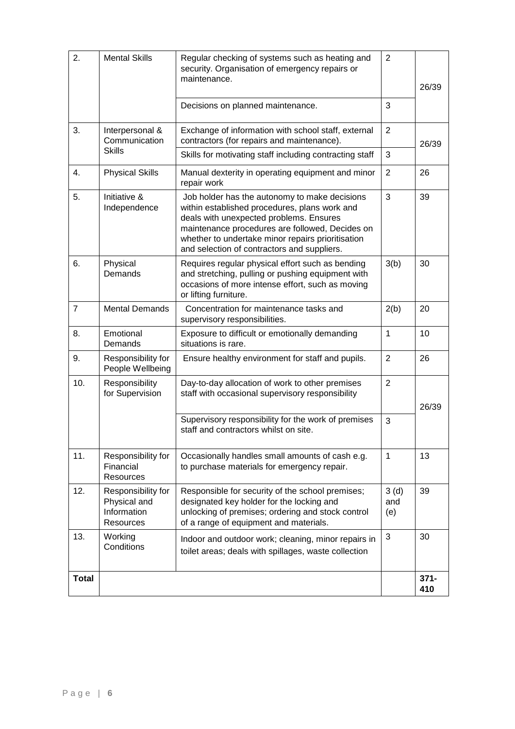| 2.             | <b>Mental Skills</b>                                                  | Regular checking of systems such as heating and<br>security. Organisation of emergency repairs or<br>maintenance.                                                                                                                                                                                | $\overline{2}$     | 26/39          |
|----------------|-----------------------------------------------------------------------|--------------------------------------------------------------------------------------------------------------------------------------------------------------------------------------------------------------------------------------------------------------------------------------------------|--------------------|----------------|
|                |                                                                       | Decisions on planned maintenance.                                                                                                                                                                                                                                                                | 3                  |                |
| 3.             | Interpersonal &<br>Communication                                      | Exchange of information with school staff, external<br>contractors (for repairs and maintenance).                                                                                                                                                                                                | $\overline{2}$     | 26/39          |
|                | <b>Skills</b>                                                         | Skills for motivating staff including contracting staff                                                                                                                                                                                                                                          | 3                  |                |
| 4.             | <b>Physical Skills</b>                                                | Manual dexterity in operating equipment and minor<br>repair work                                                                                                                                                                                                                                 | 2                  | 26             |
| 5.             | Initiative &<br>Independence                                          | Job holder has the autonomy to make decisions<br>within established procedures, plans work and<br>deals with unexpected problems. Ensures<br>maintenance procedures are followed, Decides on<br>whether to undertake minor repairs prioritisation<br>and selection of contractors and suppliers. | 3                  | 39             |
| 6.             | Physical<br>Demands                                                   | Requires regular physical effort such as bending<br>and stretching, pulling or pushing equipment with<br>occasions of more intense effort, such as moving<br>or lifting furniture.                                                                                                               | 3(b)               | 30             |
| $\overline{7}$ | <b>Mental Demands</b>                                                 | Concentration for maintenance tasks and<br>supervisory responsibilities.                                                                                                                                                                                                                         | 2(b)               | 20             |
| 8.             | Emotional<br>Demands                                                  | Exposure to difficult or emotionally demanding<br>situations is rare.                                                                                                                                                                                                                            | 1                  | 10             |
| 9.             | Responsibility for<br>People Wellbeing                                | Ensure healthy environment for staff and pupils.                                                                                                                                                                                                                                                 | 2                  | 26             |
| 10.            | Responsibility<br>for Supervision                                     | Day-to-day allocation of work to other premises<br>staff with occasional supervisory responsibility                                                                                                                                                                                              | $\overline{2}$     | 26/39          |
|                |                                                                       | Supervisory responsibility for the work of premises<br>staff and contractors whilst on site.                                                                                                                                                                                                     | 3                  |                |
| 11.            | Responsibility for<br>Financial<br><b>Resources</b>                   | Occasionally handles small amounts of cash e.g.<br>to purchase materials for emergency repair.                                                                                                                                                                                                   | $\mathbf{1}$       | 13             |
| 12.            | Responsibility for<br>Physical and<br>Information<br><b>Resources</b> | Responsible for security of the school premises;<br>designated key holder for the locking and<br>unlocking of premises; ordering and stock control<br>of a range of equipment and materials.                                                                                                     | 3(d)<br>and<br>(e) | 39             |
| 13.            | Working<br>Conditions                                                 | Indoor and outdoor work; cleaning, minor repairs in<br>toilet areas; deals with spillages, waste collection                                                                                                                                                                                      | 3                  | 30             |
| <b>Total</b>   |                                                                       |                                                                                                                                                                                                                                                                                                  |                    | $371 -$<br>410 |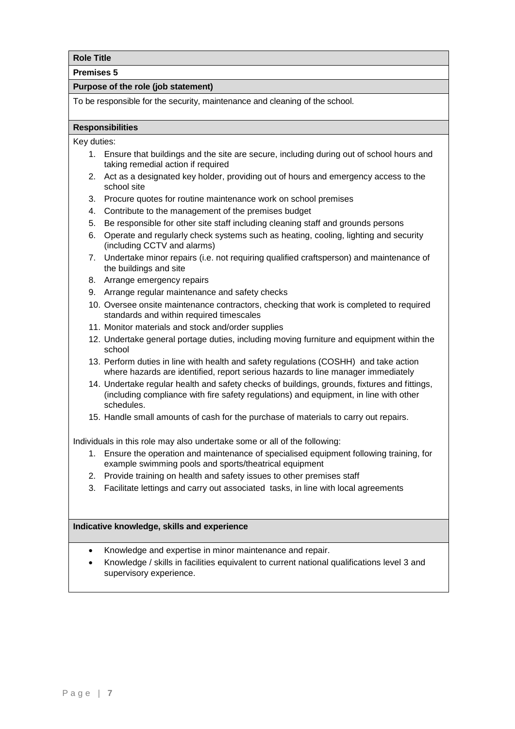**Premises 5**

#### **Purpose of the role (job statement)**

To be responsible for the security, maintenance and cleaning of the school.

#### **Responsibilities**

Key duties:

- 1. Ensure that buildings and the site are secure, including during out of school hours and taking remedial action if required
- 2. Act as a designated key holder, providing out of hours and emergency access to the school site
- 3. Procure quotes for routine maintenance work on school premises
- 4. Contribute to the management of the premises budget
- 5. Be responsible for other site staff including cleaning staff and grounds persons
- 6. Operate and regularly check systems such as heating, cooling, lighting and security (including CCTV and alarms)
- 7. Undertake minor repairs (i.e. not requiring qualified craftsperson) and maintenance of the buildings and site
- 8. Arrange emergency repairs
- 9. Arrange regular maintenance and safety checks
- 10. Oversee onsite maintenance contractors, checking that work is completed to required standards and within required timescales
- 11. Monitor materials and stock and/order supplies
- 12. Undertake general portage duties, including moving furniture and equipment within the school
- 13. Perform duties in line with health and safety regulations (COSHH) and take action where hazards are identified, report serious hazards to line manager immediately
- 14. Undertake regular health and safety checks of buildings, grounds, fixtures and fittings, (including compliance with fire safety regulations) and equipment, in line with other schedules.
- 15. Handle small amounts of cash for the purchase of materials to carry out repairs.

Individuals in this role may also undertake some or all of the following:

- 1. Ensure the operation and maintenance of specialised equipment following training, for example swimming pools and sports/theatrical equipment
- 2. Provide training on health and safety issues to other premises staff
- 3. Facilitate lettings and carry out associated tasks, in line with local agreements

- Knowledge and expertise in minor maintenance and repair.
- Knowledge / skills in facilities equivalent to current national qualifications level 3 and supervisory experience.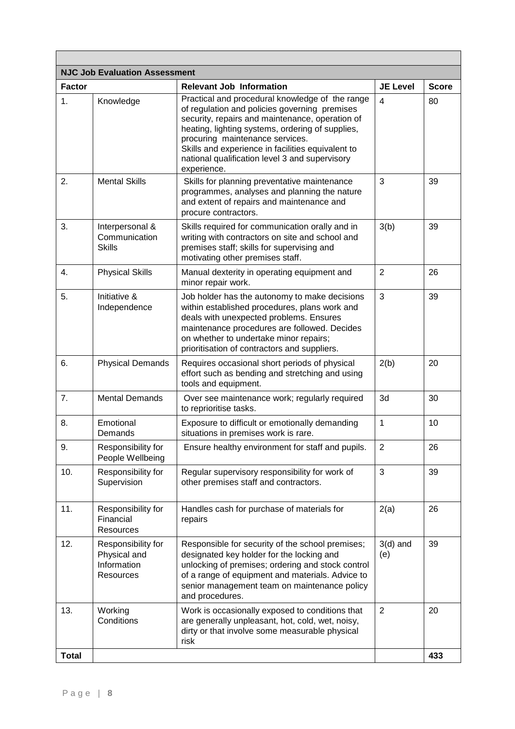| <b>NJC Job Evaluation Assessment</b> |                                                                |                                                                                                                                                                                                                                                                                                                                                                  |                         |              |
|--------------------------------------|----------------------------------------------------------------|------------------------------------------------------------------------------------------------------------------------------------------------------------------------------------------------------------------------------------------------------------------------------------------------------------------------------------------------------------------|-------------------------|--------------|
| <b>Factor</b>                        |                                                                | <b>Relevant Job Information</b>                                                                                                                                                                                                                                                                                                                                  | <b>JE Level</b>         | <b>Score</b> |
| $\mathbf{1}$ .                       | Knowledge                                                      | Practical and procedural knowledge of the range<br>of regulation and policies governing premises<br>security, repairs and maintenance, operation of<br>heating, lighting systems, ordering of supplies,<br>procuring maintenance services.<br>Skills and experience in facilities equivalent to<br>national qualification level 3 and supervisory<br>experience. | $\overline{\mathbf{4}}$ | 80           |
| 2.                                   | <b>Mental Skills</b>                                           | Skills for planning preventative maintenance<br>programmes, analyses and planning the nature<br>and extent of repairs and maintenance and<br>procure contractors.                                                                                                                                                                                                | 3                       | 39           |
| 3.                                   | Interpersonal &<br>Communication<br><b>Skills</b>              | Skills required for communication orally and in<br>writing with contractors on site and school and<br>premises staff; skills for supervising and<br>motivating other premises staff.                                                                                                                                                                             | 3(b)                    | 39           |
| 4.                                   | <b>Physical Skills</b>                                         | Manual dexterity in operating equipment and<br>minor repair work.                                                                                                                                                                                                                                                                                                | $\overline{2}$          | 26           |
| 5.                                   | Initiative &<br>Independence                                   | Job holder has the autonomy to make decisions<br>within established procedures, plans work and<br>deals with unexpected problems. Ensures<br>maintenance procedures are followed. Decides<br>on whether to undertake minor repairs;<br>prioritisation of contractors and suppliers.                                                                              | 3                       | 39           |
| 6.                                   | <b>Physical Demands</b>                                        | Requires occasional short periods of physical<br>effort such as bending and stretching and using<br>tools and equipment.                                                                                                                                                                                                                                         | 2(b)                    | 20           |
| 7.                                   | <b>Mental Demands</b>                                          | Over see maintenance work; regularly required<br>to reprioritise tasks.                                                                                                                                                                                                                                                                                          | 3d                      | 30           |
| 8.                                   | Emotional<br>Demands                                           | Exposure to difficult or emotionally demanding<br>situations in premises work is rare.                                                                                                                                                                                                                                                                           | 1                       | 10           |
| 9.                                   | Responsibility for<br>People Wellbeing                         | Ensure healthy environment for staff and pupils.                                                                                                                                                                                                                                                                                                                 | $\overline{2}$          | 26           |
| 10.                                  | Responsibility for<br>Supervision                              | Regular supervisory responsibility for work of<br>other premises staff and contractors.                                                                                                                                                                                                                                                                          | 3                       | 39           |
| 11.                                  | Responsibility for<br>Financial<br><b>Resources</b>            | Handles cash for purchase of materials for<br>repairs                                                                                                                                                                                                                                                                                                            | 2(a)                    | 26           |
| 12.                                  | Responsibility for<br>Physical and<br>Information<br>Resources | Responsible for security of the school premises;<br>designated key holder for the locking and<br>unlocking of premises; ordering and stock control<br>of a range of equipment and materials. Advice to<br>senior management team on maintenance policy<br>and procedures.                                                                                        | $3(d)$ and<br>(e)       | 39           |
| 13.                                  | Working<br>Conditions                                          | Work is occasionally exposed to conditions that<br>are generally unpleasant, hot, cold, wet, noisy,<br>dirty or that involve some measurable physical<br>risk                                                                                                                                                                                                    | 2                       | 20           |
| <b>Total</b>                         |                                                                |                                                                                                                                                                                                                                                                                                                                                                  |                         | 433          |

÷.

 $\mathbf{r}$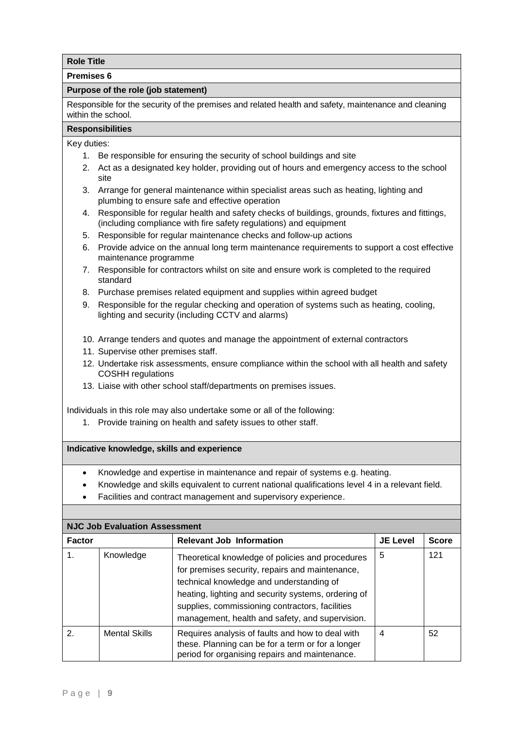#### **Premises 6**

## **Purpose of the role (job statement)**

Responsible for the security of the premises and related health and safety, maintenance and cleaning within the school.

## **Responsibilities**

Key duties:

- 1. Be responsible for ensuring the security of school buildings and site
- 2. Act as a designated key holder, providing out of hours and emergency access to the school site
- 3. Arrange for general maintenance within specialist areas such as heating, lighting and plumbing to ensure safe and effective operation
- 4. Responsible for regular health and safety checks of buildings, grounds, fixtures and fittings, (including compliance with fire safety regulations) and equipment
- 5. Responsible for regular maintenance checks and follow-up actions
- 6. Provide advice on the annual long term maintenance requirements to support a cost effective maintenance programme
- 7. Responsible for contractors whilst on site and ensure work is completed to the required standard
- 8. Purchase premises related equipment and supplies within agreed budget
- 9. Responsible for the regular checking and operation of systems such as heating, cooling, lighting and security (including CCTV and alarms)
- 10. Arrange tenders and quotes and manage the appointment of external contractors
- 11. Supervise other premises staff.
- 12. Undertake risk assessments, ensure compliance within the school with all health and safety COSHH regulations
- 13. Liaise with other school staff/departments on premises issues.

Individuals in this role may also undertake some or all of the following:

1. Provide training on health and safety issues to other staff.

- Knowledge and expertise in maintenance and repair of systems e.g. heating.
- Knowledge and skills equivalent to current national qualifications level 4 in a relevant field.
- Facilities and contract management and supervisory experience.

| <b>NJC Job Evaluation Assessment</b> |                      |                                                                                                                                                                                                                                                                                                              |                 |              |
|--------------------------------------|----------------------|--------------------------------------------------------------------------------------------------------------------------------------------------------------------------------------------------------------------------------------------------------------------------------------------------------------|-----------------|--------------|
| <b>Factor</b>                        |                      | <b>Relevant Job Information</b>                                                                                                                                                                                                                                                                              | <b>JE Level</b> | <b>Score</b> |
|                                      | Knowledge            | Theoretical knowledge of policies and procedures<br>for premises security, repairs and maintenance,<br>technical knowledge and understanding of<br>heating, lighting and security systems, ordering of<br>supplies, commissioning contractors, facilities<br>management, health and safety, and supervision. | 5               | 121          |
| 2                                    | <b>Mental Skills</b> | Requires analysis of faults and how to deal with<br>these. Planning can be for a term or for a longer<br>period for organising repairs and maintenance.                                                                                                                                                      | 4               | 52           |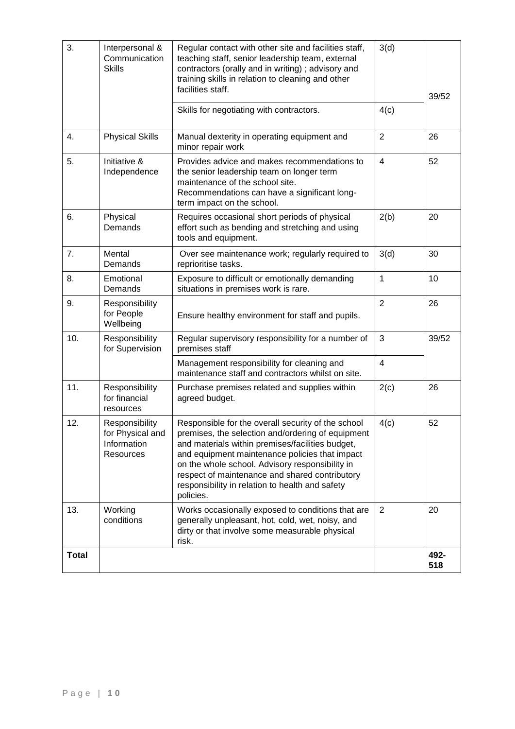| 3.           | Interpersonal &<br>Communication<br><b>Skills</b>              | Regular contact with other site and facilities staff,<br>teaching staff, senior leadership team, external<br>contractors (orally and in writing); advisory and<br>training skills in relation to cleaning and other<br>facilities staff.                                                                                                                                           | 3(d)                    | 39/52       |
|--------------|----------------------------------------------------------------|------------------------------------------------------------------------------------------------------------------------------------------------------------------------------------------------------------------------------------------------------------------------------------------------------------------------------------------------------------------------------------|-------------------------|-------------|
|              |                                                                | Skills for negotiating with contractors.                                                                                                                                                                                                                                                                                                                                           | 4(c)                    |             |
| 4.           | <b>Physical Skills</b>                                         | Manual dexterity in operating equipment and<br>minor repair work                                                                                                                                                                                                                                                                                                                   | $\overline{2}$          | 26          |
| 5.           | Initiative &<br>Independence                                   | Provides advice and makes recommendations to<br>the senior leadership team on longer term<br>maintenance of the school site.<br>Recommendations can have a significant long-<br>term impact on the school.                                                                                                                                                                         | $\overline{\mathbf{4}}$ | 52          |
| 6.           | Physical<br>Demands                                            | Requires occasional short periods of physical<br>effort such as bending and stretching and using<br>tools and equipment.                                                                                                                                                                                                                                                           | 2(b)                    | 20          |
| 7.           | Mental<br>Demands                                              | Over see maintenance work; regularly required to<br>reprioritise tasks.                                                                                                                                                                                                                                                                                                            | 3(d)                    | 30          |
| 8.           | Emotional<br>Demands                                           | Exposure to difficult or emotionally demanding<br>situations in premises work is rare.                                                                                                                                                                                                                                                                                             | 1                       | 10          |
| 9.           | Responsibility<br>for People<br>Wellbeing                      | Ensure healthy environment for staff and pupils.                                                                                                                                                                                                                                                                                                                                   | $\overline{2}$          | 26          |
| 10.          | Responsibility<br>for Supervision                              | Regular supervisory responsibility for a number of<br>premises staff                                                                                                                                                                                                                                                                                                               | 3                       | 39/52       |
|              |                                                                | Management responsibility for cleaning and<br>maintenance staff and contractors whilst on site.                                                                                                                                                                                                                                                                                    | 4                       |             |
| 11.          | Responsibility<br>for financial<br>resources                   | Purchase premises related and supplies within<br>agreed budget.                                                                                                                                                                                                                                                                                                                    | 2(c)                    | 26          |
| 12.          | Responsibility<br>for Physical and<br>Information<br>Resources | Responsible for the overall security of the school<br>premises, the selection and/ordering of equipment<br>and materials within premises/facilities budget,<br>and equipment maintenance policies that impact<br>on the whole school. Advisory responsibility in<br>respect of maintenance and shared contributory<br>responsibility in relation to health and safety<br>policies. | 4(c)                    | 52          |
| 13.          | Working<br>conditions                                          | Works occasionally exposed to conditions that are<br>generally unpleasant, hot, cold, wet, noisy, and<br>dirty or that involve some measurable physical<br>risk.                                                                                                                                                                                                                   | $\overline{2}$          | 20          |
| <b>Total</b> |                                                                |                                                                                                                                                                                                                                                                                                                                                                                    |                         | 492-<br>518 |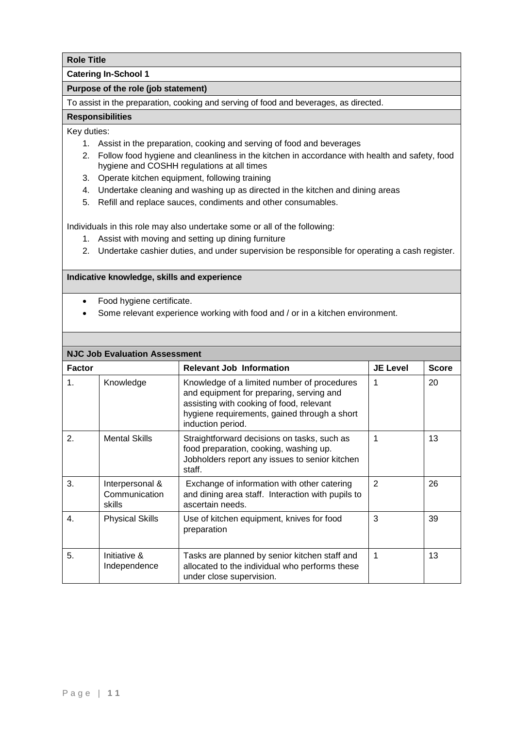## **Catering In-School 1**

## **Purpose of the role (job statement)**

To assist in the preparation, cooking and serving of food and beverages, as directed.

#### **Responsibilities**

#### Key duties:

- 1. Assist in the preparation, cooking and serving of food and beverages
- 2. Follow food hygiene and cleanliness in the kitchen in accordance with health and safety, food hygiene and COSHH regulations at all times
- 3. Operate kitchen equipment, following training
- 4. Undertake cleaning and washing up as directed in the kitchen and dining areas
- 5. Refill and replace sauces, condiments and other consumables.

Individuals in this role may also undertake some or all of the following:

- 1. Assist with moving and setting up dining furniture
- 2. Undertake cashier duties, and under supervision be responsible for operating a cash register.

- Food hygiene certificate.
- Some relevant experience working with food and / or in a kitchen environment.

|                | <b>NJC Job Evaluation Assessment</b>       |                                                                                                                                                                                                          |                 |              |  |  |
|----------------|--------------------------------------------|----------------------------------------------------------------------------------------------------------------------------------------------------------------------------------------------------------|-----------------|--------------|--|--|
| <b>Factor</b>  |                                            | <b>Relevant Job Information</b>                                                                                                                                                                          | <b>JE Level</b> | <b>Score</b> |  |  |
| 1.             | Knowledge                                  | Knowledge of a limited number of procedures<br>and equipment for preparing, serving and<br>assisting with cooking of food, relevant<br>hygiene requirements, gained through a short<br>induction period. | 1               | 20           |  |  |
| 2.             | <b>Mental Skills</b>                       | Straightforward decisions on tasks, such as<br>food preparation, cooking, washing up.<br>Jobholders report any issues to senior kitchen<br>staff.                                                        | 1               | 13           |  |  |
| 3.             | Interpersonal &<br>Communication<br>skills | Exchange of information with other catering<br>and dining area staff. Interaction with pupils to<br>ascertain needs.                                                                                     | 2               | 26           |  |  |
| $\mathbf{4}$ . | <b>Physical Skills</b>                     | Use of kitchen equipment, knives for food<br>preparation                                                                                                                                                 | 3               | 39           |  |  |
| 5.             | Initiative &<br>Independence               | Tasks are planned by senior kitchen staff and<br>allocated to the individual who performs these<br>under close supervision.                                                                              | 1               | 13           |  |  |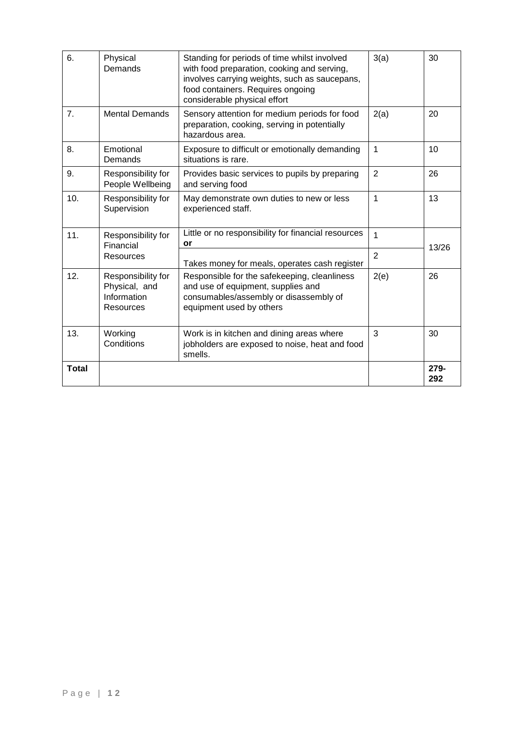|                | Physical, and         | and use of equipment, supplies and                  |                |       |
|----------------|-----------------------|-----------------------------------------------------|----------------|-------|
|                |                       |                                                     |                |       |
|                | Responsibility for    | Responsible for the safekeeping, cleanliness        | 2(e)           |       |
| 12.            |                       |                                                     |                | 26    |
|                |                       |                                                     |                |       |
|                |                       | Takes money for meals, operates cash register       |                |       |
|                | Resources             |                                                     | $\overline{2}$ |       |
|                | Financial             | or                                                  |                | 13/26 |
|                | Responsibility for    |                                                     |                |       |
| 11.            |                       | Little or no responsibility for financial resources | 1              |       |
|                |                       |                                                     |                |       |
|                |                       |                                                     |                |       |
|                | Supervision           | experienced staff.                                  |                |       |
| 10.            | Responsibility for    | May demonstrate own duties to new or less           | 1              | 13    |
|                |                       |                                                     |                |       |
|                | People Wellbeing      | and serving food                                    |                |       |
| 9.             | Responsibility for    | Provides basic services to pupils by preparing      | $\overline{2}$ | 26    |
|                |                       |                                                     |                |       |
|                | Demands               | situations is rare.                                 |                |       |
| 8.             | Emotional             | Exposure to difficult or emotionally demanding      | $\mathbf{1}$   | 10    |
|                |                       |                                                     |                |       |
|                |                       | hazardous area.                                     |                |       |
|                |                       | preparation, cooking, serving in potentially        |                |       |
|                |                       |                                                     |                |       |
| 7 <sub>1</sub> | <b>Mental Demands</b> | Sensory attention for medium periods for food       | 2(a)           | 20    |
|                |                       |                                                     |                |       |
|                |                       | considerable physical effort                        |                |       |
|                |                       | food containers. Requires ongoing                   |                |       |
|                |                       | involves carrying weights, such as saucepans,       |                |       |
|                |                       |                                                     |                |       |
|                | Demands               | with food preparation, cooking and serving,         |                |       |
|                | Physical              | Standing for periods of time whilst involved        | 3(a)           | 30    |
| 6.             |                       |                                                     |                |       |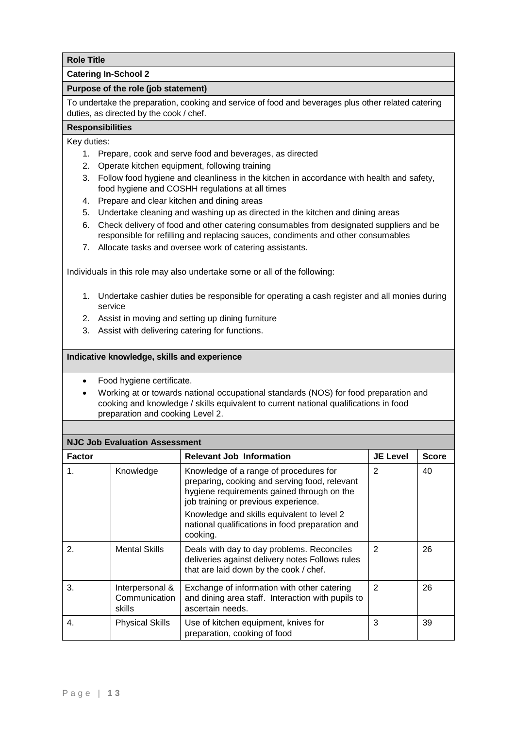## **Catering In-School 2**

#### **Purpose of the role (job statement)**

To undertake the preparation, cooking and service of food and beverages plus other related catering duties, as directed by the cook / chef.

## **Responsibilities**

Key duties:

- 1. Prepare, cook and serve food and beverages, as directed
- 2. Operate kitchen equipment, following training
- 3. Follow food hygiene and cleanliness in the kitchen in accordance with health and safety, food hygiene and COSHH regulations at all times
- 4. Prepare and clear kitchen and dining areas
- 5. Undertake cleaning and washing up as directed in the kitchen and dining areas
- 6. Check delivery of food and other catering consumables from designated suppliers and be responsible for refilling and replacing sauces, condiments and other consumables
- 7. Allocate tasks and oversee work of catering assistants.

Individuals in this role may also undertake some or all of the following:

- 1. Undertake cashier duties be responsible for operating a cash register and all monies during service
- 2. Assist in moving and setting up dining furniture
- 3. Assist with delivering catering for functions.

- Food hygiene certificate.
- Working at or towards national occupational standards (NOS) for food preparation and cooking and knowledge / skills equivalent to current national qualifications in food preparation and cooking Level 2.

| <b>NJC Job Evaluation Assessment</b> |                                            |                                                                                                                                                                                                                                                                                            |                 |              |  |
|--------------------------------------|--------------------------------------------|--------------------------------------------------------------------------------------------------------------------------------------------------------------------------------------------------------------------------------------------------------------------------------------------|-----------------|--------------|--|
| <b>Factor</b>                        |                                            | <b>Relevant Job Information</b>                                                                                                                                                                                                                                                            | <b>JE Level</b> | <b>Score</b> |  |
| 1.                                   | Knowledge                                  | Knowledge of a range of procedures for<br>preparing, cooking and serving food, relevant<br>hygiene requirements gained through on the<br>job training or previous experience.<br>Knowledge and skills equivalent to level 2<br>national qualifications in food preparation and<br>cooking. | 2               | 40           |  |
| 2.                                   | <b>Mental Skills</b>                       | Deals with day to day problems. Reconciles<br>deliveries against delivery notes Follows rules<br>that are laid down by the cook / chef.                                                                                                                                                    | 2               | 26           |  |
| 3.                                   | Interpersonal &<br>Communication<br>skills | Exchange of information with other catering<br>and dining area staff. Interaction with pupils to<br>ascertain needs.                                                                                                                                                                       | 2               | 26           |  |
| 4.                                   | <b>Physical Skills</b>                     | Use of kitchen equipment, knives for<br>preparation, cooking of food                                                                                                                                                                                                                       | 3               | 39           |  |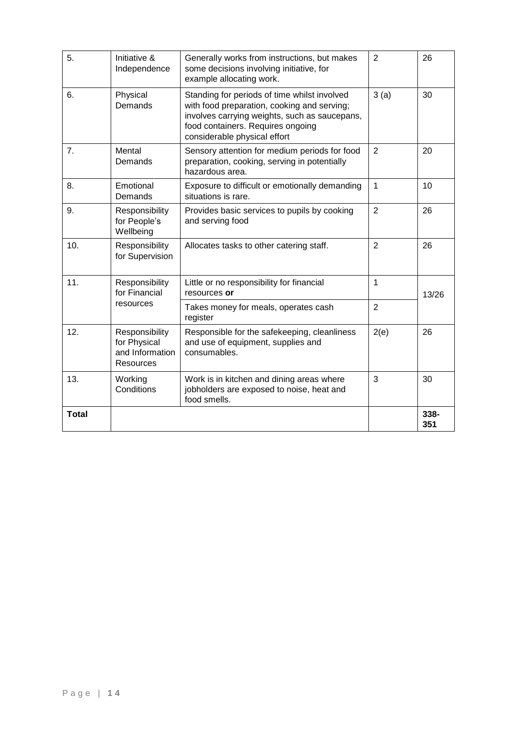| 5.           | Initiative &<br>Independence                                          | Generally works from instructions, but makes<br>some decisions involving initiative, for<br>example allocating work.                                                                                              | $\overline{2}$ | 26          |
|--------------|-----------------------------------------------------------------------|-------------------------------------------------------------------------------------------------------------------------------------------------------------------------------------------------------------------|----------------|-------------|
| 6.           | Physical<br>Demands                                                   | Standing for periods of time whilst involved<br>with food preparation, cooking and serving;<br>involves carrying weights, such as saucepans,<br>food containers. Requires ongoing<br>considerable physical effort | 3(a)           | 30          |
| 7.           | Mental<br>Demands                                                     | Sensory attention for medium periods for food<br>preparation, cooking, serving in potentially<br>hazardous area.                                                                                                  | $\overline{2}$ | 20          |
| 8.           | Emotional<br>Demands                                                  | Exposure to difficult or emotionally demanding<br>situations is rare.                                                                                                                                             | $\mathbf{1}$   | 10          |
| 9.           | Responsibility<br>for People's<br>Wellbeing                           | Provides basic services to pupils by cooking<br>and serving food                                                                                                                                                  | $\overline{2}$ | 26          |
| 10.          | Responsibility<br>for Supervision                                     | Allocates tasks to other catering staff.                                                                                                                                                                          | $\overline{2}$ | 26          |
| 11.          | Responsibility<br>for Financial                                       | Little or no responsibility for financial<br>resources or                                                                                                                                                         | $\mathbf{1}$   | 13/26       |
|              | resources                                                             | Takes money for meals, operates cash<br>register                                                                                                                                                                  | $\overline{2}$ |             |
| 12.          | Responsibility<br>for Physical<br>and Information<br><b>Resources</b> | Responsible for the safekeeping, cleanliness<br>and use of equipment, supplies and<br>consumables.                                                                                                                | 2(e)           | 26          |
| 13.          | Working<br>Conditions                                                 | Work is in kitchen and dining areas where<br>jobholders are exposed to noise, heat and<br>food smells.                                                                                                            | 3              | 30          |
| <b>Total</b> |                                                                       |                                                                                                                                                                                                                   |                | 338-<br>351 |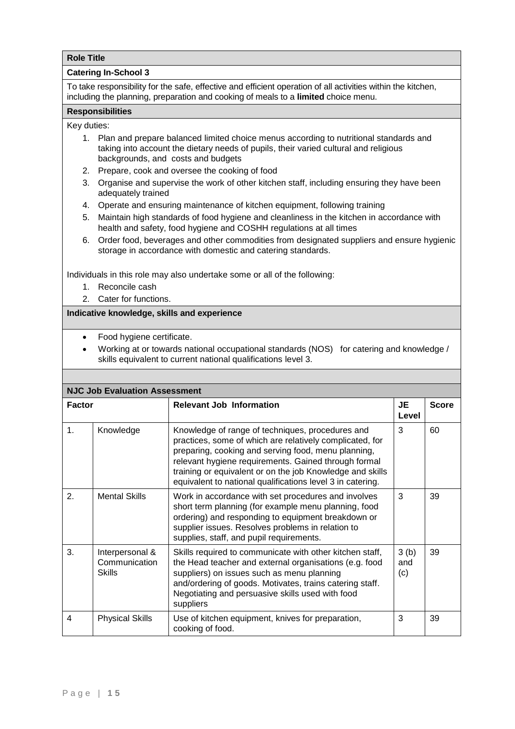#### **Catering In-School 3**

To take responsibility for the safe, effective and efficient operation of all activities within the kitchen, including the planning, preparation and cooking of meals to a **limited** choice menu.

#### **Responsibilities**

Key duties:

- 1. Plan and prepare balanced limited choice menus according to nutritional standards and taking into account the dietary needs of pupils, their varied cultural and religious backgrounds, and costs and budgets
- 2. Prepare, cook and oversee the cooking of food
- 3. Organise and supervise the work of other kitchen staff, including ensuring they have been adequately trained
- 4. Operate and ensuring maintenance of kitchen equipment, following training
- 5. Maintain high standards of food hygiene and cleanliness in the kitchen in accordance with health and safety, food hygiene and COSHH regulations at all times
- 6. Order food, beverages and other commodities from designated suppliers and ensure hygienic storage in accordance with domestic and catering standards.

Individuals in this role may also undertake some or all of the following:

- 1. Reconcile cash
- 2. Cater for functions.

- Food hygiene certificate.
- Working at or towards national occupational standards (NOS) for catering and knowledge / skills equivalent to current national qualifications level 3.

| <b>NJC Job Evaluation Assessment</b> |                                                   |                                                                                                                                                                                                                                                                                                                                                        |                    |              |  |
|--------------------------------------|---------------------------------------------------|--------------------------------------------------------------------------------------------------------------------------------------------------------------------------------------------------------------------------------------------------------------------------------------------------------------------------------------------------------|--------------------|--------------|--|
| <b>Factor</b>                        |                                                   | <b>Relevant Job Information</b>                                                                                                                                                                                                                                                                                                                        | JE<br>Level        | <b>Score</b> |  |
| 1.                                   | Knowledge                                         | Knowledge of range of techniques, procedures and<br>practices, some of which are relatively complicated, for<br>preparing, cooking and serving food, menu planning,<br>relevant hygiene requirements. Gained through formal<br>training or equivalent or on the job Knowledge and skills<br>equivalent to national qualifications level 3 in catering. | 3                  | 60           |  |
| 2.                                   | <b>Mental Skills</b>                              | Work in accordance with set procedures and involves<br>short term planning (for example menu planning, food<br>ordering) and responding to equipment breakdown or<br>supplier issues. Resolves problems in relation to<br>supplies, staff, and pupil requirements.                                                                                     | 3                  | 39           |  |
| 3.                                   | Interpersonal &<br>Communication<br><b>Skills</b> | Skills required to communicate with other kitchen staff,<br>the Head teacher and external organisations (e.g. food<br>suppliers) on issues such as menu planning<br>and/ordering of goods. Motivates, trains catering staff.<br>Negotiating and persuasive skills used with food<br>suppliers                                                          | 3(b)<br>and<br>(c) | 39           |  |
| 4                                    | <b>Physical Skills</b>                            | Use of kitchen equipment, knives for preparation,<br>cooking of food.                                                                                                                                                                                                                                                                                  | 3                  | 39           |  |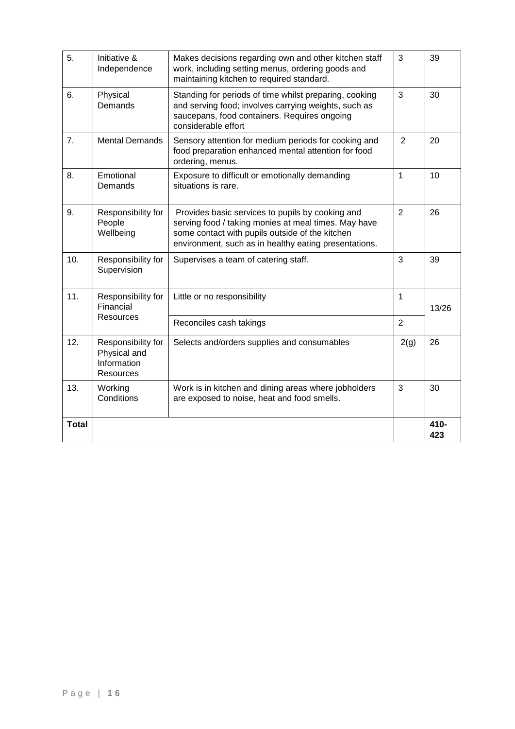| 5.           | Initiative &<br>Independence                                          | Makes decisions regarding own and other kitchen staff<br>work, including setting menus, ordering goods and<br>maintaining kitchen to required standard.                                                              | 3              | 39          |
|--------------|-----------------------------------------------------------------------|----------------------------------------------------------------------------------------------------------------------------------------------------------------------------------------------------------------------|----------------|-------------|
| 6.           | Physical<br>Demands                                                   | Standing for periods of time whilst preparing, cooking<br>and serving food; involves carrying weights, such as<br>saucepans, food containers. Requires ongoing<br>considerable effort                                | 3              | 30          |
| 7.           | <b>Mental Demands</b>                                                 | Sensory attention for medium periods for cooking and<br>food preparation enhanced mental attention for food<br>ordering, menus.                                                                                      | $\overline{2}$ | 20          |
| 8.           | Emotional<br>Demands                                                  | Exposure to difficult or emotionally demanding<br>situations is rare.                                                                                                                                                | $\mathbf{1}$   | 10          |
| 9.           | Responsibility for<br>People<br>Wellbeing                             | Provides basic services to pupils by cooking and<br>serving food / taking monies at meal times. May have<br>some contact with pupils outside of the kitchen<br>environment, such as in healthy eating presentations. | $\overline{2}$ | 26          |
| 10.          | Responsibility for<br>Supervision                                     | Supervises a team of catering staff.                                                                                                                                                                                 | 3              | 39          |
| 11.          | Responsibility for<br>Financial                                       | Little or no responsibility                                                                                                                                                                                          | $\mathbf{1}$   | 13/26       |
|              | <b>Resources</b>                                                      | Reconciles cash takings                                                                                                                                                                                              | $\overline{2}$ |             |
| 12.          | Responsibility for<br>Physical and<br>Information<br><b>Resources</b> | Selects and/orders supplies and consumables                                                                                                                                                                          | 2(g)           | 26          |
| 13.          | Working<br>Conditions                                                 | Work is in kitchen and dining areas where jobholders<br>are exposed to noise, heat and food smells.                                                                                                                  | 3              | 30          |
| <b>Total</b> |                                                                       |                                                                                                                                                                                                                      |                | 410-<br>423 |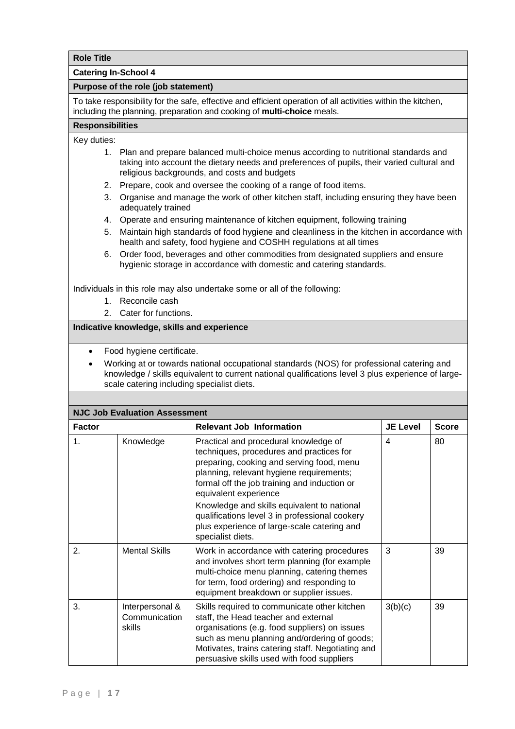**Catering In-School 4**

#### **Purpose of the role (job statement)**

To take responsibility for the safe, effective and efficient operation of all activities within the kitchen, including the planning, preparation and cooking of **multi-choice** meals.

#### **Responsibilities**

Key duties:

- 1. Plan and prepare balanced multi-choice menus according to nutritional standards and taking into account the dietary needs and preferences of pupils, their varied cultural and religious backgrounds, and costs and budgets
- 2. Prepare, cook and oversee the cooking of a range of food items.
- 3. Organise and manage the work of other kitchen staff, including ensuring they have been adequately trained
- 4. Operate and ensuring maintenance of kitchen equipment, following training
- 5. Maintain high standards of food hygiene and cleanliness in the kitchen in accordance with health and safety, food hygiene and COSHH regulations at all times
- 6. Order food, beverages and other commodities from designated suppliers and ensure hygienic storage in accordance with domestic and catering standards.

Individuals in this role may also undertake some or all of the following:

- 1. Reconcile cash
	- 2. Cater for functions.

#### **Indicative knowledge, skills and experience**

• Food hygiene certificate.

 Working at or towards national occupational standards (NOS) for professional catering and knowledge / skills equivalent to current national qualifications level 3 plus experience of largescale catering including specialist diets.

| <b>NJC Job Evaluation Assessment</b> |                                            |                                                                                                                                                                                                                                                                                                                                                                                                                          |                 |              |  |
|--------------------------------------|--------------------------------------------|--------------------------------------------------------------------------------------------------------------------------------------------------------------------------------------------------------------------------------------------------------------------------------------------------------------------------------------------------------------------------------------------------------------------------|-----------------|--------------|--|
| <b>Factor</b>                        |                                            | <b>Relevant Job Information</b>                                                                                                                                                                                                                                                                                                                                                                                          | <b>JE Level</b> | <b>Score</b> |  |
| 1 <sub>1</sub>                       | Knowledge                                  | Practical and procedural knowledge of<br>techniques, procedures and practices for<br>preparing, cooking and serving food, menu<br>planning, relevant hygiene requirements;<br>formal off the job training and induction or<br>equivalent experience<br>Knowledge and skills equivalent to national<br>qualifications level 3 in professional cookery<br>plus experience of large-scale catering and<br>specialist diets. | 4               | 80           |  |
| 2.                                   | <b>Mental Skills</b>                       | Work in accordance with catering procedures<br>and involves short term planning (for example<br>multi-choice menu planning, catering themes<br>for term, food ordering) and responding to<br>equipment breakdown or supplier issues.                                                                                                                                                                                     | 3               | 39           |  |
| 3.                                   | Interpersonal &<br>Communication<br>skills | Skills required to communicate other kitchen<br>staff, the Head teacher and external<br>organisations (e.g. food suppliers) on issues<br>such as menu planning and/ordering of goods;<br>Motivates, trains catering staff. Negotiating and<br>persuasive skills used with food suppliers                                                                                                                                 | 3(b)(c)         | 39           |  |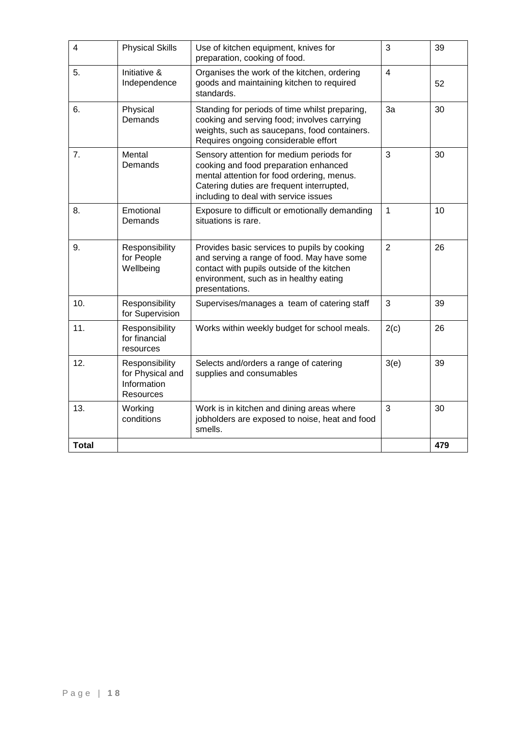| 4            | <b>Physical Skills</b>                                         | Use of kitchen equipment, knives for<br>preparation, cooking of food.                                                                                                                                                 | 3              | 39  |
|--------------|----------------------------------------------------------------|-----------------------------------------------------------------------------------------------------------------------------------------------------------------------------------------------------------------------|----------------|-----|
| 5.           | Initiative &<br>Independence                                   | Organises the work of the kitchen, ordering<br>goods and maintaining kitchen to required<br>standards.                                                                                                                | $\overline{4}$ | 52  |
| 6.           | Physical<br>Demands                                            | Standing for periods of time whilst preparing,<br>cooking and serving food; involves carrying<br>weights, such as saucepans, food containers.<br>Requires ongoing considerable effort                                 | 3a             | 30  |
| 7.           | Mental<br>Demands                                              | Sensory attention for medium periods for<br>cooking and food preparation enhanced<br>mental attention for food ordering, menus.<br>Catering duties are frequent interrupted,<br>including to deal with service issues | 3              | 30  |
| 8.           | Emotional<br>Demands                                           | Exposure to difficult or emotionally demanding<br>situations is rare.                                                                                                                                                 | $\mathbf{1}$   | 10  |
| 9.           | Responsibility<br>for People<br>Wellbeing                      | Provides basic services to pupils by cooking<br>and serving a range of food. May have some<br>contact with pupils outside of the kitchen<br>environment, such as in healthy eating<br>presentations.                  | $\overline{2}$ | 26  |
| 10.          | Responsibility<br>for Supervision                              | Supervises/manages a team of catering staff                                                                                                                                                                           | 3              | 39  |
| 11.          | Responsibility<br>for financial<br>resources                   | Works within weekly budget for school meals.                                                                                                                                                                          | 2(c)           | 26  |
| 12.          | Responsibility<br>for Physical and<br>Information<br>Resources | Selects and/orders a range of catering<br>supplies and consumables                                                                                                                                                    | 3(e)           | 39  |
| 13.          | Working<br>conditions                                          | Work is in kitchen and dining areas where<br>jobholders are exposed to noise, heat and food<br>smells.                                                                                                                | 3              | 30  |
| <b>Total</b> |                                                                |                                                                                                                                                                                                                       |                | 479 |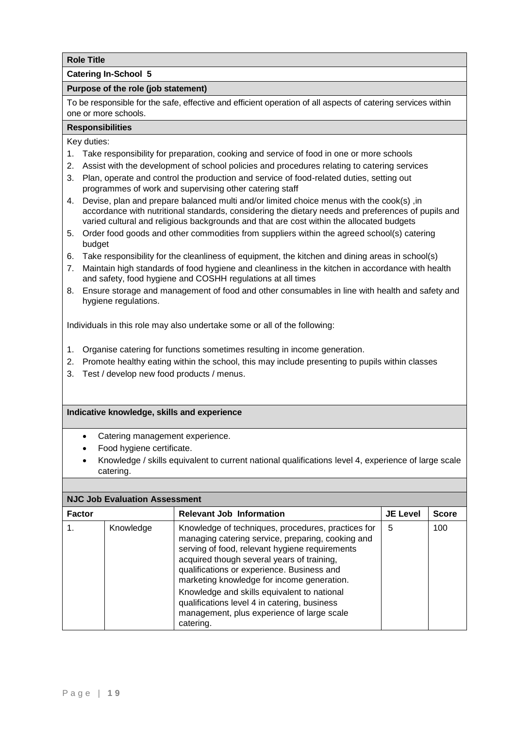## **Catering In-School 5**

#### **Purpose of the role (job statement)**

To be responsible for the safe, effective and efficient operation of all aspects of catering services within one or more schools.

## **Responsibilities**

Key duties:

- 1. Take responsibility for preparation, cooking and service of food in one or more schools
- 2. Assist with the development of school policies and procedures relating to catering services
- 3. Plan, operate and control the production and service of food-related duties, setting out programmes of work and supervising other catering staff
- 4. Devise, plan and prepare balanced multi and/or limited choice menus with the cook(s) ,in accordance with nutritional standards, considering the dietary needs and preferences of pupils and varied cultural and religious backgrounds and that are cost within the allocated budgets
- 5. Order food goods and other commodities from suppliers within the agreed school(s) catering budget
- 6. Take responsibility for the cleanliness of equipment, the kitchen and dining areas in school(s)
- 7. Maintain high standards of food hygiene and cleanliness in the kitchen in accordance with health and safety, food hygiene and COSHH regulations at all times
- 8. Ensure storage and management of food and other consumables in line with health and safety and hygiene regulations.

Individuals in this role may also undertake some or all of the following:

- 1. Organise catering for functions sometimes resulting in income generation.
- 2. Promote healthy eating within the school, this may include presenting to pupils within classes
- 3. Test / develop new food products / menus.

- Catering management experience.
- Food hygiene certificate.
- Knowledge / skills equivalent to current national qualifications level 4, experience of large scale catering.

| <b>NJC Job Evaluation Assessment</b> |           |                                                                                                                                                                                                                                                                                                                                                                                                                                                               |                 |              |  |  |
|--------------------------------------|-----------|---------------------------------------------------------------------------------------------------------------------------------------------------------------------------------------------------------------------------------------------------------------------------------------------------------------------------------------------------------------------------------------------------------------------------------------------------------------|-----------------|--------------|--|--|
| <b>Factor</b>                        |           | <b>Relevant Job Information</b>                                                                                                                                                                                                                                                                                                                                                                                                                               | <b>JE Level</b> | <b>Score</b> |  |  |
|                                      | Knowledge | Knowledge of techniques, procedures, practices for<br>managing catering service, preparing, cooking and<br>serving of food, relevant hygiene requirements<br>acquired though several years of training,<br>qualifications or experience. Business and<br>marketing knowledge for income generation.<br>Knowledge and skills equivalent to national<br>qualifications level 4 in catering, business<br>management, plus experience of large scale<br>catering. | 5               | 100          |  |  |